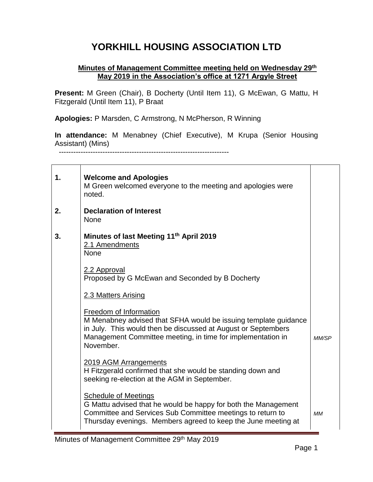## **YORKHILL HOUSING ASSOCIATION LTD**

## **Minutes of Management Committee meeting held on Wednesday 29th May 2019 in the Association's office at 1271 Argyle Street**

**Present:** M Green (Chair), B Docherty (Until Item 11), G McEwan, G Mattu, H Fitzgerald (Until Item 11), P Braat

**Apologies:** P Marsden, C Armstrong, N McPherson, R Winning

**In attendance:** M Menabney (Chief Executive), M Krupa (Senior Housing Assistant) (Mins)

----------------------------------------------------------------------

r

| 1. | <b>Welcome and Apologies</b><br>M Green welcomed everyone to the meeting and apologies were<br>noted.                                                                                                                                  |           |
|----|----------------------------------------------------------------------------------------------------------------------------------------------------------------------------------------------------------------------------------------|-----------|
| 2. | <b>Declaration of Interest</b><br><b>None</b>                                                                                                                                                                                          |           |
| 3. | Minutes of last Meeting 11th April 2019<br>2.1 Amendments<br><b>None</b>                                                                                                                                                               |           |
|    | 2.2 Approval<br>Proposed by G McEwan and Seconded by B Docherty                                                                                                                                                                        |           |
|    | 2.3 Matters Arising                                                                                                                                                                                                                    |           |
|    | Freedom of Information<br>M Menabney advised that SFHA would be issuing template guidance<br>in July. This would then be discussed at August or Septembers<br>Management Committee meeting, in time for implementation in<br>November. | MM/SP     |
|    | 2019 AGM Arrangements<br>H Fitzgerald confirmed that she would be standing down and<br>seeking re-election at the AGM in September.                                                                                                    |           |
|    | <b>Schedule of Meetings</b><br>G Mattu advised that he would be happy for both the Management<br>Committee and Services Sub Committee meetings to return to<br>Thursday evenings. Members agreed to keep the June meeting at           | <b>MM</b> |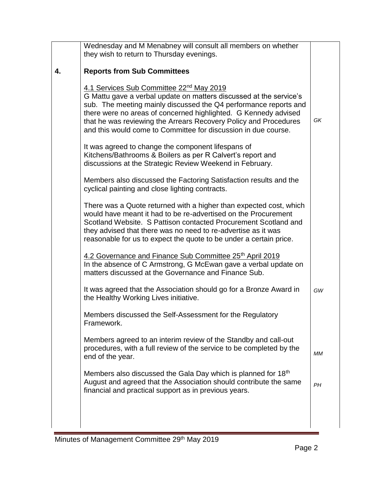|    | Wednesday and M Menabney will consult all members on whether                                                                         |     |
|----|--------------------------------------------------------------------------------------------------------------------------------------|-----|
|    | they wish to return to Thursday evenings.                                                                                            |     |
|    |                                                                                                                                      |     |
| 4. | <b>Reports from Sub Committees</b>                                                                                                   |     |
|    | 4.1 Services Sub Committee 22 <sup>nd</sup> May 2019                                                                                 |     |
|    | G Mattu gave a verbal update on matters discussed at the service's                                                                   |     |
|    | sub. The meeting mainly discussed the Q4 performance reports and                                                                     |     |
|    | there were no areas of concerned highlighted. G Kennedy advised                                                                      |     |
|    | that he was reviewing the Arrears Recovery Policy and Procedures                                                                     | GK  |
|    | and this would come to Committee for discussion in due course.                                                                       |     |
|    |                                                                                                                                      |     |
|    | It was agreed to change the component lifespans of                                                                                   |     |
|    | Kitchens/Bathrooms & Boilers as per R Calvert's report and                                                                           |     |
|    | discussions at the Strategic Review Weekend in February.                                                                             |     |
|    |                                                                                                                                      |     |
|    | Members also discussed the Factoring Satisfaction results and the                                                                    |     |
|    | cyclical painting and close lighting contracts.                                                                                      |     |
|    |                                                                                                                                      |     |
|    | There was a Quote returned with a higher than expected cost, which<br>would have meant it had to be re-advertised on the Procurement |     |
|    | Scotland Website. S Pattison contacted Procurement Scotland and                                                                      |     |
|    | they advised that there was no need to re-advertise as it was                                                                        |     |
|    | reasonable for us to expect the quote to be under a certain price.                                                                   |     |
|    |                                                                                                                                      |     |
|    | 4.2 Governance and Finance Sub Committee 25th April 2019                                                                             |     |
|    | In the absence of C Armstrong, G McEwan gave a verbal update on                                                                      |     |
|    | matters discussed at the Governance and Finance Sub.                                                                                 |     |
|    |                                                                                                                                      |     |
|    | It was agreed that the Association should go for a Bronze Award in                                                                   | GW  |
|    | the Healthy Working Lives initiative.                                                                                                |     |
|    |                                                                                                                                      |     |
|    | Members discussed the Self-Assessment for the Regulatory                                                                             |     |
|    | Framework.                                                                                                                           |     |
|    | Members agreed to an interim review of the Standby and call-out                                                                      |     |
|    | procedures, with a full review of the service to be completed by the                                                                 |     |
|    | end of the year.                                                                                                                     | MМ  |
|    |                                                                                                                                      |     |
|    | Members also discussed the Gala Day which is planned for 18th                                                                        |     |
|    | August and agreed that the Association should contribute the same                                                                    | PH. |
|    | financial and practical support as in previous years.                                                                                |     |
|    |                                                                                                                                      |     |
|    |                                                                                                                                      |     |
|    |                                                                                                                                      |     |
|    |                                                                                                                                      |     |

÷.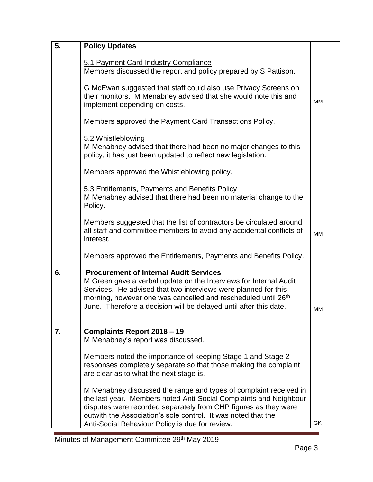| 5. | <b>Policy Updates</b>                                                                                                                                                                                                                                                                                                                  |           |
|----|----------------------------------------------------------------------------------------------------------------------------------------------------------------------------------------------------------------------------------------------------------------------------------------------------------------------------------------|-----------|
|    | 5.1 Payment Card Industry Compliance<br>Members discussed the report and policy prepared by S Pattison.                                                                                                                                                                                                                                |           |
|    | G McEwan suggested that staff could also use Privacy Screens on<br>their monitors. M Menabney advised that she would note this and<br>implement depending on costs.                                                                                                                                                                    | MM        |
|    | Members approved the Payment Card Transactions Policy.                                                                                                                                                                                                                                                                                 |           |
|    | 5.2 Whistleblowing<br>M Menabney advised that there had been no major changes to this<br>policy, it has just been updated to reflect new legislation.                                                                                                                                                                                  |           |
|    | Members approved the Whistleblowing policy.                                                                                                                                                                                                                                                                                            |           |
|    | 5.3 Entitlements, Payments and Benefits Policy<br>M Menabney advised that there had been no material change to the<br>Policy.                                                                                                                                                                                                          |           |
|    | Members suggested that the list of contractors be circulated around<br>all staff and committee members to avoid any accidental conflicts of<br>interest.                                                                                                                                                                               | <b>MM</b> |
|    | Members approved the Entitlements, Payments and Benefits Policy.                                                                                                                                                                                                                                                                       |           |
| 6. | <b>Procurement of Internal Audit Services</b><br>M Green gave a verbal update on the Interviews for Internal Audit<br>Services. He advised that two interviews were planned for this<br>morning, however one was cancelled and rescheduled until 26 <sup>th</sup><br>June. Therefore a decision will be delayed until after this date. | MМ        |
| 7. | Complaints Report 2018 - 19<br>M Menabney's report was discussed.                                                                                                                                                                                                                                                                      |           |
|    | Members noted the importance of keeping Stage 1 and Stage 2<br>responses completely separate so that those making the complaint<br>are clear as to what the next stage is.                                                                                                                                                             |           |
|    | M Menabney discussed the range and types of complaint received in<br>the last year. Members noted Anti-Social Complaints and Neighbour<br>disputes were recorded separately from CHP figures as they were<br>outwith the Association's sole control. It was noted that the<br>Anti-Social Behaviour Policy is due for review.          | GK        |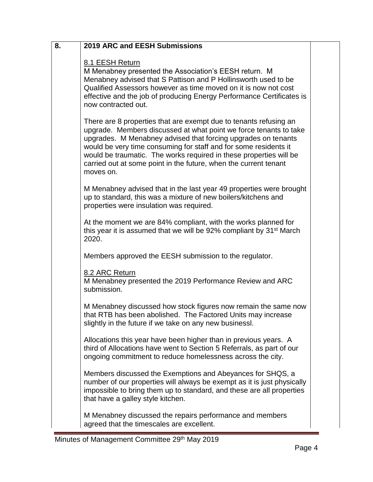| 8. | <b>2019 ARC and EESH Submissions</b>                                                                                                                                                                                                                                                                                                                                                                                               |  |
|----|------------------------------------------------------------------------------------------------------------------------------------------------------------------------------------------------------------------------------------------------------------------------------------------------------------------------------------------------------------------------------------------------------------------------------------|--|
|    | 8.1 EESH Return<br>M Menabney presented the Association's EESH return. M<br>Menabney advised that S Pattison and P Hollinsworth used to be<br>Qualified Assessors however as time moved on it is now not cost<br>effective and the job of producing Energy Performance Certificates is<br>now contracted out.                                                                                                                      |  |
|    | There are 8 properties that are exempt due to tenants refusing an<br>upgrade. Members discussed at what point we force tenants to take<br>upgrades. M Menabney advised that forcing upgrades on tenants<br>would be very time consuming for staff and for some residents it<br>would be traumatic. The works required in these properties will be<br>carried out at some point in the future, when the current tenant<br>moves on. |  |
|    | M Menabney advised that in the last year 49 properties were brought<br>up to standard, this was a mixture of new boilers/kitchens and<br>properties were insulation was required.                                                                                                                                                                                                                                                  |  |
|    | At the moment we are 84% compliant, with the works planned for<br>this year it is assumed that we will be 92% compliant by 31 <sup>st</sup> March<br>2020.                                                                                                                                                                                                                                                                         |  |
|    | Members approved the EESH submission to the regulator.                                                                                                                                                                                                                                                                                                                                                                             |  |
|    | 8.2 ARC Return<br>M Menabney presented the 2019 Performance Review and ARC<br>submission.                                                                                                                                                                                                                                                                                                                                          |  |
|    | M Menabney discussed how stock figures now remain the same now<br>that RTB has been abolished. The Factored Units may increase<br>slightly in the future if we take on any new businessl.                                                                                                                                                                                                                                          |  |
|    | Allocations this year have been higher than in previous years. A<br>third of Allocations have went to Section 5 Referrals, as part of our<br>ongoing commitment to reduce homelessness across the city.                                                                                                                                                                                                                            |  |
|    | Members discussed the Exemptions and Abeyances for SHQS, a<br>number of our properties will always be exempt as it is just physically<br>impossible to bring them up to standard, and these are all properties<br>that have a galley style kitchen.                                                                                                                                                                                |  |
|    | M Menabney discussed the repairs performance and members<br>agreed that the timescales are excellent.                                                                                                                                                                                                                                                                                                                              |  |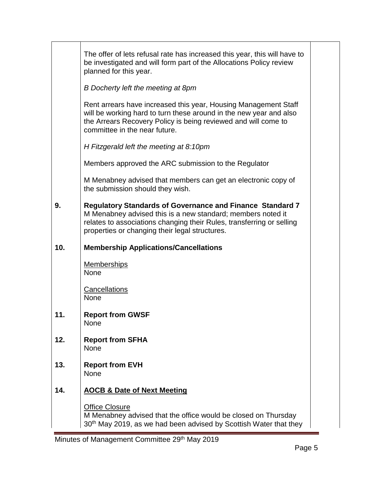|     | The offer of lets refusal rate has increased this year, this will have to<br>be investigated and will form part of the Allocations Policy review<br>planned for this year.                                                                                 |  |
|-----|------------------------------------------------------------------------------------------------------------------------------------------------------------------------------------------------------------------------------------------------------------|--|
|     | B Docherty left the meeting at 8pm                                                                                                                                                                                                                         |  |
|     | Rent arrears have increased this year, Housing Management Staff<br>will be working hard to turn these around in the new year and also<br>the Arrears Recovery Policy is being reviewed and will come to<br>committee in the near future.                   |  |
|     | H Fitzgerald left the meeting at 8:10pm                                                                                                                                                                                                                    |  |
|     | Members approved the ARC submission to the Regulator                                                                                                                                                                                                       |  |
|     | M Menabney advised that members can get an electronic copy of<br>the submission should they wish.                                                                                                                                                          |  |
| 9.  | <b>Regulatory Standards of Governance and Finance Standard 7</b><br>M Menabney advised this is a new standard; members noted it<br>relates to associations changing their Rules, transferring or selling<br>properties or changing their legal structures. |  |
|     |                                                                                                                                                                                                                                                            |  |
| 10. | <b>Membership Applications/Cancellations</b>                                                                                                                                                                                                               |  |
|     | <b>Memberships</b><br>None                                                                                                                                                                                                                                 |  |
|     | <b>Cancellations</b><br>None                                                                                                                                                                                                                               |  |
|     | <b>Report from GWSF</b><br><b>None</b>                                                                                                                                                                                                                     |  |
| 12. | <b>Report from SFHA</b><br><b>None</b>                                                                                                                                                                                                                     |  |
| 13. | <b>Report from EVH</b><br><b>None</b>                                                                                                                                                                                                                      |  |
| 14. | <b>AOCB &amp; Date of Next Meeting</b>                                                                                                                                                                                                                     |  |